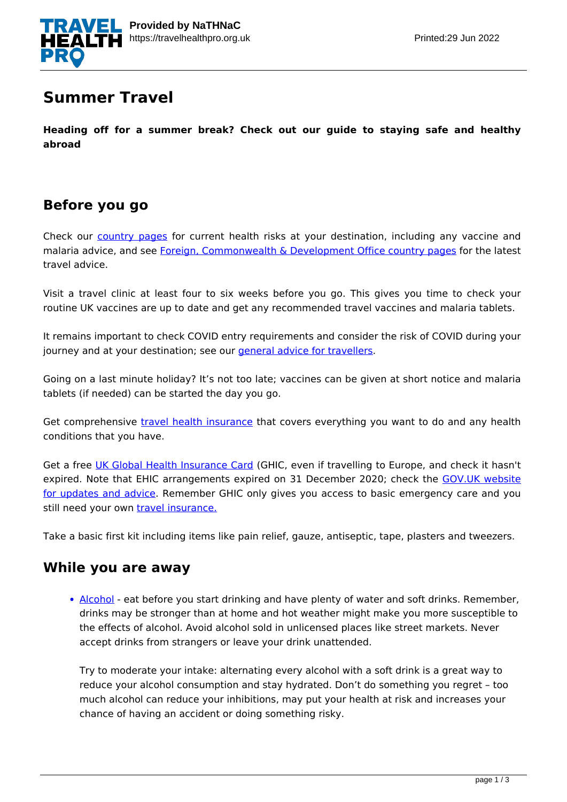

## **Summer Travel**

**Heading off for a summer break? Check out our guide to staying safe and healthy abroad**

### **Before you go**

Check our **[country pages](https://travelhealthpro.org.uk/country-information/)** for current health risks at your destination, including any vaccine and malaria advice, and see [Foreign, Commonwealth & Development Office country pages](https://www.gov.uk/foreign-travel-advice) for the latest travel advice.

Visit a travel clinic at least four to six weeks before you go. This gives you time to check your routine UK vaccines are up to date and get any recommended travel vaccines and malaria tablets.

It remains important to check COVID entry requirements and consider the risk of COVID during your journey and at your destination; see our [general advice for travellers.](https://travelhealthpro.org.uk/factsheet/30/general-advice-for-travellers)

Going on a last minute holiday? It's not too late; vaccines can be given at short notice and malaria tablets (if needed) can be started the day you go.

Get comprehensive *[travel health insurance](https://travelhealthpro.org.uk/factsheet/10/travel-insurance)* that covers everything you want to do and any health conditions that you have.

Get a free [UK Global Health Insurance Card](https://www.gov.uk/global-health-insurance-card) (GHIC, even if travelling to Europe, and check it hasn't expired. Note that EHIC arrangements expired on 31 December 2020; check the [GOV.UK website](https://www.gov.uk/european-health-insurance-card) [for updates and advice.](https://www.gov.uk/european-health-insurance-card) Remember GHIC only gives you access to basic emergency care and you still need your own [travel insurance.](https://www.gov.uk/guidance/foreign-travel-insurance)

Take a basic first kit including items like pain relief, gauze, antiseptic, tape, plasters and tweezers.

### **While you are away**

• [Alcohol](https://www.gov.uk/government/news/fco-reveals-consequences-of-overindulging-on-holiday) - eat before you start drinking and have plenty of water and soft drinks. Remember, drinks may be stronger than at home and hot weather might make you more susceptible to the effects of alcohol. Avoid alcohol sold in unlicensed places like street markets. Never accept drinks from strangers or leave your drink unattended.

Try to moderate your intake: alternating every alcohol with a soft drink is a great way to reduce your alcohol consumption and stay hydrated. Don't do something you regret – too much alcohol can reduce your inhibitions, may put your health at risk and increases your chance of having an accident or doing something risky.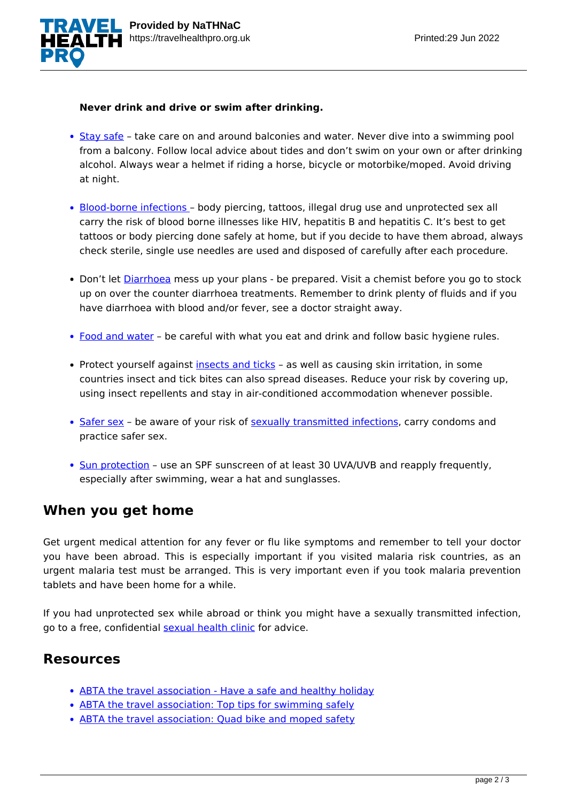

#### **Never drink and drive or swim after drinking.**

- [Stay safe](https://travelhealthpro.org.uk/factsheet/25/personal-safety) take care on and around balconies and water. Never dive into a swimming pool from a balcony. Follow local advice about tides and don't swim on your own or after drinking alcohol. Always wear a helmet if riding a horse, bicycle or motorbike/moped. Avoid driving at night.
- [Blood-borne infections](https://www.hse.gov.uk/biosafety/blood-borne-viruses/what-are-bvv.htm)  body piercing, tattoos, illegal drug use and unprotected sex all carry the risk of blood borne illnesses like HIV, hepatitis B and hepatitis C. It's best to get tattoos or body piercing done safely at home, but if you decide to have them abroad, always check sterile, single use needles are used and disposed of carefully after each procedure.
- Don't let [Diarrhoea](https://travelhealthpro.org.uk/factsheet/53/travellers-diarrhoea) mess up your plans be prepared. Visit a chemist before you go to stock up on over the counter diarrhoea treatments. Remember to drink plenty of fluids and if you have diarrhoea with blood and/or fever, see a doctor straight away.
- [Food and water](https://travelhealthpro.org.uk/factsheet/44/food-and-water-hygiene)  be careful with what you eat and drink and follow basic hygiene rules.
- Protect yourself against [insects and ticks](https://travelhealthpro.org.uk/factsheet/38/insect-and-tick-bite-avoidance) as well as causing skin irritation, in some countries insect and tick bites can also spread diseases. Reduce your risk by covering up, using insect repellents and stay in air-conditioned accommodation whenever possible.
- [Safer sex](http://www.nhs.uk/Livewell/Sexualhealth/Pages/Sexonholiday.aspx) be aware of your risk of [sexually transmitted infections](https://www.nhs.uk/conditions/sexually-transmitted-infections-stis/), carry condoms and practice safer sex.
- [Sun protection](https://travelhealthpro.org.uk/factsheet/23/sun-protection) use an SPF sunscreen of at least 30 UVA/UVB and reapply frequently, especially after swimming, wear a hat and sunglasses.

### **When you get home**

Get urgent medical attention for any fever or flu like symptoms and remember to tell your doctor you have been abroad. This is especially important if you visited malaria risk countries, as an urgent malaria test must be arranged. This is very important even if you took malaria prevention tablets and have been home for a while.

If you had unprotected sex while abroad or think you might have a sexually transmitted infection, go to a free, confidential [sexual health clinic](http://www.nhs.uk/Livewell/STIs/Pages/VisitinganSTIclinic.aspx) for advice.

### **Resources**

- [ABTA the travel association Have a safe and healthy holiday](https://www.abta.com/tips-and-advice/staying-safe-on-holiday/safe-and-healthy-holidays-sun)
- [ABTA the travel association: Top tips for swimming safely](https://abta.com/top-tips-for-swimming-safety)
- [ABTA the travel association: Quad bike and moped safety](https://abta.com/tips-and-latest/abta-campaigns/quad-bike-safety)